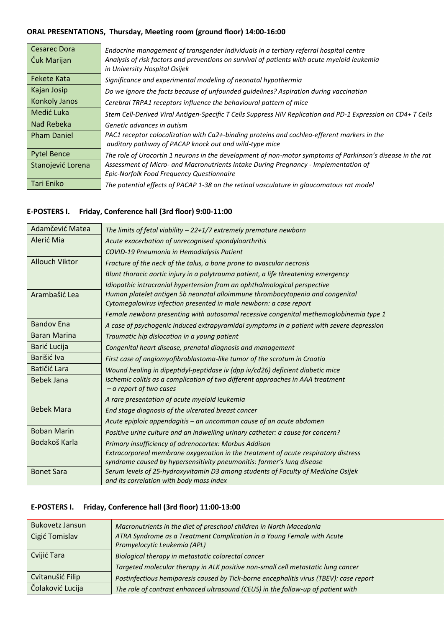### **ORAL PRESENTATIONS, Thursday, Meeting room (ground floor) 14:00-16:00**

| <b>Cesarec Dora</b>  | Endocrine management of transgender individuals in a tertiary referral hospital centre                                                                |
|----------------------|-------------------------------------------------------------------------------------------------------------------------------------------------------|
| Ćuk Marijan          | Analysis of risk factors and preventions on survival of patients with acute myeloid leukemia<br>in University Hospital Osijek                         |
| <b>Fekete Kata</b>   | Significance and experimental modeling of neonatal hypothermia                                                                                        |
| Kajan Josip          | Do we ignore the facts because of unfounded guidelines? Aspiration during vaccination                                                                 |
| <b>Konkoly Janos</b> | Cerebral TRPA1 receptors influence the behavioural pattern of mice                                                                                    |
| Medić Luka           | Stem Cell-Derived Viral Antigen-Specific T Cells Suppress HIV Replication and PD-1 Expression on CD4+ T Cells                                         |
| Nad Rebeka           | Genetic advances in autism                                                                                                                            |
| <b>Pham Daniel</b>   | PAC1 receptor colocalization with Ca2+-binding proteins and cochlea-efferent markers in the<br>auditory pathway of PACAP knock out and wild-type mice |
| <b>Pytel Bence</b>   | The role of Urocortin 1 neurons in the development of non-motor symptoms of Parkinson's disease in the rat                                            |
| Stanojević Lorena    | Assessment of Micro- and Macronutrients Intake During Pregnancy - Implementation of<br>Epic-Norfolk Food Frequency Questionnaire                      |
| <b>Tari Eniko</b>    | The potential effects of PACAP 1-38 on the retinal vasculature in glaucomatous rat model                                                              |

### **E-POSTERS I. Friday, Conference hall (3rd floor) 9:00-11:00**

| Adamčević Matea       | The limits of fetal viability $-22+1/7$ extremely premature newborn                                                                                          |
|-----------------------|--------------------------------------------------------------------------------------------------------------------------------------------------------------|
| Alerić Mia            | Acute exacerbation of unrecognised spondyloarthritis                                                                                                         |
|                       | COVID-19 Pneumonia in Hemodialysis Patient                                                                                                                   |
| <b>Allouch Viktor</b> | Fracture of the neck of the talus, a bone prone to avascular necrosis                                                                                        |
|                       | Blunt thoracic aortic injury in a polytrauma patient, a life threatening emergency                                                                           |
|                       | Idiopathic intracranial hypertension from an ophthalmological perspective                                                                                    |
| Arambašić Lea         | Human platelet antigen 5b neonatal alloimmune thrombocytopenia and congenital<br>Cytomegalovirus infection presented in male newborn: a case report          |
|                       | Female newborn presenting with autosomal recessive congenital methemoglobinemia type 1                                                                       |
| <b>Bandov Ena</b>     | A case of psychogenic induced extrapyramidal symptoms in a patient with severe depression                                                                    |
| <b>Baran Marina</b>   | Traumatic hip dislocation in a young patient                                                                                                                 |
| Barić Lucija          | Congenital heart disease, prenatal diagnosis and management                                                                                                  |
| Barišić Iva           | First case of angiomyofibroblastoma-like tumor of the scrotum in Croatia                                                                                     |
| Batičić Lara          | Wound healing in dipeptidyl-peptidase iv (dpp iv/cd26) deficient diabetic mice                                                                               |
| Bebek Jana            | Ischemic colitis as a complication of two different approaches in AAA treatment<br>- a report of two cases                                                   |
|                       | A rare presentation of acute myeloid leukemia                                                                                                                |
| <b>Bebek Mara</b>     | End stage diagnosis of the ulcerated breast cancer                                                                                                           |
|                       | Acute epiploic appendagitis – an uncommon cause of an acute abdomen                                                                                          |
| <b>Boban Marin</b>    | Positive urine culture and an indwelling urinary catheter: a cause for concern?                                                                              |
| Bodakoš Karla         | Primary insufficiency of adrenocortex: Morbus Addison                                                                                                        |
|                       | Extracorporeal membrane oxygenation in the treatment of acute respiratory distress<br>syndrome caused by hypersensitivity pneumonitis: farmer's lung disease |
| <b>Bonet Sara</b>     | Serum levels of 25-hydroxyvitamin D3 among students of Faculty of Medicine Osijek                                                                            |
|                       | and its correlation with body mass index                                                                                                                     |

### **E-POSTERS I. Friday, Conference hall (3rd floor) 11:00-13:00**

| <b>Bukovetz Jansun</b> | Macronutrients in the diet of preschool children in North Macedonia                    |
|------------------------|----------------------------------------------------------------------------------------|
| Cigić Tomislav         | ATRA Syndrome as a Treatment Complication in a Young Female with Acute                 |
|                        | Promyelocytic Leukemia (APL)                                                           |
| Cvijić Tara            | Biological therapy in metastatic colorectal cancer                                     |
|                        | Targeted molecular therapy in ALK positive non-small cell metastatic lung cancer       |
| Cvitanušić Filip       | Postinfectious hemiparesis caused by Tick-borne encephalitis virus (TBEV): case report |
| Čolaković Lucija       | The role of contrast enhanced ultrasound (CEUS) in the follow-up of patient with       |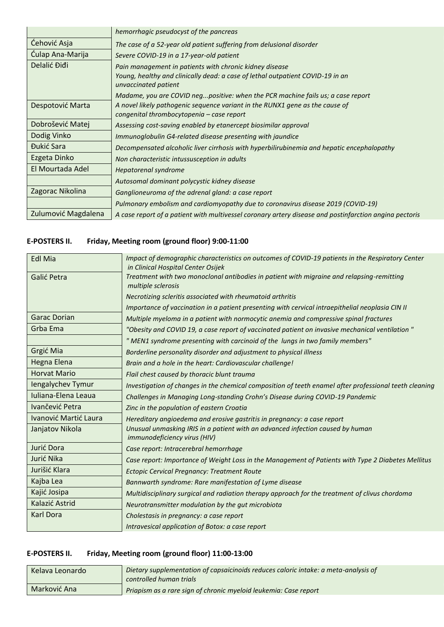|                     | hemorrhagic pseudocyst of the pancreas                                                                 |
|---------------------|--------------------------------------------------------------------------------------------------------|
| Ćehović Asja        | The case of a 52-year old patient suffering from delusional disorder                                   |
| Ćulap Ana-Marija    | Severe COVID-19 in a 17-year-old patient                                                               |
| Delalić Điđi        | Pain management in patients with chronic kidney disease                                                |
|                     | Young, healthy and clinically dead: a case of lethal outpatient COVID-19 in an                         |
|                     | unvaccinated patient                                                                                   |
|                     | Madame, you are COVID negpositive: when the PCR machine fails us; a case report                        |
| Despotović Marta    | A novel likely pathogenic sequence variant in the RUNX1 gene as the cause of                           |
|                     | congenital thrombocytopenia – case report                                                              |
| Dobrošević Matej    | Assessing cost-saving enabled by etanercept biosimilar approval                                        |
| Dodig Vinko         | Immunoglobulin G4-related disease presenting with jaundice                                             |
| Đukić Sara          | Decompensated alcoholic liver cirrhosis with hyperbilirubinemia and hepatic encephalopathy             |
| Ezgeta Dinko        | Non characteristic intussusception in adults                                                           |
| El Mourtada Adel    | Hepatorenal syndrome                                                                                   |
|                     | Autosomal dominant polycystic kidney disease                                                           |
| Zagorac Nikolina    | Ganglioneuroma of the adrenal gland: a case report                                                     |
|                     | Pulmonary embolism and cardiomyopathy due to coronavirus disease 2019 (COVID-19)                       |
| Zulumović Magdalena | A case report of a patient with multivessel coronary artery disease and postinfarction angina pectoris |

# **E-POSTERS II. Friday, Meeting room (ground floor) 9:00-11:00**

| <b>Edl Mia</b>        | Impact of demographic characteristics on outcomes of COVID-19 patients in the Respiratory Center<br>in Clinical Hospital Center Osijek |
|-----------------------|----------------------------------------------------------------------------------------------------------------------------------------|
| Galić Petra           | Treatment with two monoclonal antibodies in patient with migraine and relapsing-remitting<br>multiple sclerosis                        |
|                       | Necrotizing scleritis associated with rheumatoid arthritis                                                                             |
|                       | Importance of vaccination in a patient presenting with cervical intraepithelial neoplasia CIN II                                       |
| <b>Garac Dorian</b>   | Multiple myeloma in a patient with normocytic anemia and compressive spinal fractures                                                  |
| Grba Ema              | "Obesity and COVID 19, a case report of vaccinated patient on invasive mechanical ventilation "                                        |
|                       | "MEN1 syndrome presenting with carcinoid of the lungs in two family members"                                                           |
| Grgić Mia             | Borderline personality disorder and adjustment to physical illness                                                                     |
| Hegna Elena           | Brain and a hole in the heart: Cardiovascular challenge!                                                                               |
| <b>Horvat Mario</b>   | Flail chest caused by thoracic blunt trauma                                                                                            |
| lengalychev Tymur     | Investigation of changes in the chemical composition of teeth enamel after professional teeth cleaning                                 |
| Iuliana-Elena Leaua   | Challenges in Managing Long-standing Crohn's Disease during COVID-19 Pandemic                                                          |
| Ivančević Petra       | Zinc in the population of eastern Croatia                                                                                              |
| Ivanović Martić Laura | Hereditary angioedema and erosive gastritis in pregnancy: a case report                                                                |
| Janjatov Nikola       | Unusual unmasking IRIS in a patient with an advanced infection caused by human<br><i>immunodeficiency virus (HIV)</i>                  |
| Jurić Dora            | Case report: Intracerebral hemorrhage                                                                                                  |
| Jurić Nika            | Case report: Importance of Weight Loss in the Management of Patients with Type 2 Diabetes Mellitus                                     |
| Jurišić Klara         | <b>Ectopic Cervical Pregnancy: Treatment Route</b>                                                                                     |
| Kajba Lea             | Bannwarth syndrome: Rare manifestation of Lyme disease                                                                                 |
| Kajić Josipa          | Multidisciplinary surgical and radiation therapy approach for the treatment of clivus chordoma                                         |
| Kalazić Astrid        | Neurotransmitter modulation by the gut microbiota                                                                                      |
| <b>Karl Dora</b>      | Cholestasis in pregnancy: a case report                                                                                                |
|                       | Intravesical application of Botox: a case report                                                                                       |

# **E-POSTERS II. Friday, Meeting room (ground floor) 11:00-13:00**

| Kelava Leonardo | Dietary supplementation of capsaicinoids reduces caloric intake: a meta-analysis of<br>controlled human trials |
|-----------------|----------------------------------------------------------------------------------------------------------------|
| Marković Ana    | Priapism as a rare sign of chronic myeloid leukemia: Case report                                               |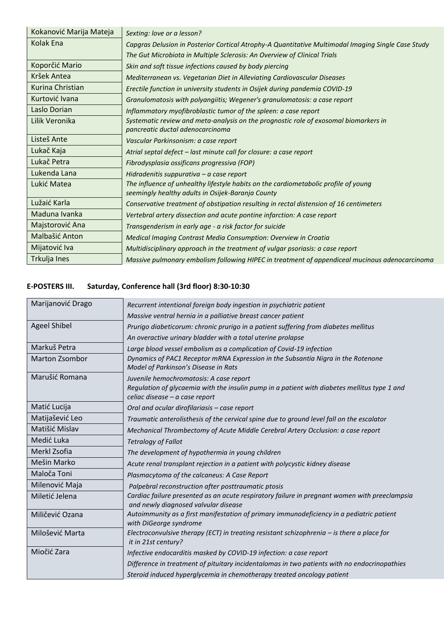| Kokanović Marija Mateja | Sexting: love or a lesson?                                                                                                               |
|-------------------------|------------------------------------------------------------------------------------------------------------------------------------------|
| Kolak Ena               | Capgras Delusion in Posterior Cortical Atrophy-A Quantitative Multimodal Imaging Single Case Study                                       |
|                         | The Gut Microbiota in Multiple Sclerosis: An Overview of Clinical Trials                                                                 |
| Koporčić Mario          | Skin and soft tissue infections caused by body piercing                                                                                  |
| Kršek Antea             | Mediterranean vs. Vegetarian Diet in Alleviating Cardiovascular Diseases                                                                 |
| Kurina Christian        | Erectile function in university students in Osijek during pandemia COVID-19                                                              |
| Kurtović Ivana          | Granulomatosis with polyangiitis; Wegener's granulomatosis: a case report                                                                |
| Laslo Dorian            | Inflammatory myofibroblastic tumor of the spleen: a case report                                                                          |
| Lilik Veronika          | Systematic review and meta-analysis on the prognostic role of exosomal biomarkers in<br>pancreatic ductal adenocarcinoma                 |
| Listeš Ante             | Vascular Parkinsonism: a case report                                                                                                     |
| Lukač Kaja              | Atrial septal defect - last minute call for closure: a case report                                                                       |
| Lukač Petra             | Fibrodysplasia ossificans progressiva (FOP)                                                                                              |
| Lukenda Lana            | Hidradenitis suppurativa - a case report                                                                                                 |
| Lukić Matea             | The influence of unhealthy lifestyle habits on the cardiometabolic profile of young<br>seemingly healthy adults in Osijek-Baranja County |
| Lužaić Karla            | Conservative treatment of obstipation resulting in rectal distension of 16 centimeters                                                   |
| Maduna Ivanka           | Vertebral artery dissection and acute pontine infarction: A case report                                                                  |
| Majstorović Ana         | Transgenderism in early age - a risk factor for suicide                                                                                  |
| Malbašić Anton          | <b>Medical Imaging Contrast Media Consumption: Overview in Croatia</b>                                                                   |
| Mijatović Iva           | Multidisciplinary approach in the treatment of vulgar psoriasis: a case report                                                           |
| Trkulja Ines            | Massive pulmonary embolism following HIPEC in treatment of appendiceal mucinous adenocarcinoma                                           |

# **E-POSTERS III. Saturday, Conference hall (3rd floor) 8:30-10:30**

| Marijanović Drago     | Recurrent intentional foreign body ingestion in psychiatric patient                                                            |
|-----------------------|--------------------------------------------------------------------------------------------------------------------------------|
|                       | Massive ventral hernia in a palliative breast cancer patient                                                                   |
| <b>Ageel Shibel</b>   | Prurigo diabeticorum: chronic prurigo in a patient suffering from diabetes mellitus                                            |
|                       | An overactive urinary bladder with a total uterine prolapse                                                                    |
| Markuš Petra          | Large blood vessel embolism as a complication of Covid-19 infection                                                            |
| <b>Marton Zsombor</b> | Dynamics of PAC1 Receptor mRNA Expression in the Subsantia Nigra in the Rotenone                                               |
| Marušić Romana        | Model of Parkinson's Disease in Rats                                                                                           |
|                       | Juvenile hemochromatosis: A case report                                                                                        |
|                       | Regulation of glycaemia with the insulin pump in a patient with diabetes mellitus type 1 and<br>celiac disease - a case report |
| Matić Lucija          | Oral and ocular dirofilariasis - case report                                                                                   |
| Matijašević Leo       | Traumatic anterolisthesis of the cervical spine due to ground level fall on the escalator                                      |
| Matišić Mislav        | Mechanical Thrombectomy of Acute Middle Cerebral Artery Occlusion: a case report                                               |
| Medić Luka            | <b>Tetralogy of Fallot</b>                                                                                                     |
| Merkl Zsofia          | The development of hypothermia in young children                                                                               |
| Mešin Marko           | Acute renal transplant rejection in a patient with polycystic kidney disease                                                   |
| Maloča Toni           | Plasmacytoma of the calcaneus: A Case Report                                                                                   |
| Milenović Maja        | Palpebral reconstruction after posttraumatic ptosis                                                                            |
| Miletić Jelena        | Cardiac failure presented as an acute respiratory failure in pregnant women with preeclampsia                                  |
|                       | and newly diagnosed valvular disease                                                                                           |
| Miličević Ozana       | Autoimmunity as a first manifestation of primary immunodeficiency in a pediatric patient<br>with DiGeorge syndrome             |
| Milošević Marta       | Electroconvulsive therapy (ECT) in treating resistant schizophrenia $-$ is there a place for                                   |
|                       | it in 21st century?                                                                                                            |
| Miočić Zara           | Infective endocarditis masked by COVID-19 infection: a case report                                                             |
|                       | Difference in treatment of pituitary incidentalomas in two patients with no endocrinopathies                                   |
|                       | Steroid induced hyperglycemia in chemotherapy treated oncology patient                                                         |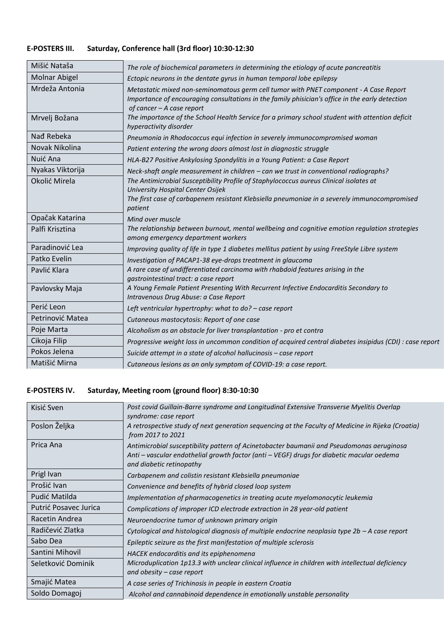# **E-POSTERS III. Saturday, Conference hall (3rd floor) 10:30-12:30**

| Mišić Nataša         | The role of biochemical parameters in determining the etiology of acute pancreatitis                                                                                                                                  |
|----------------------|-----------------------------------------------------------------------------------------------------------------------------------------------------------------------------------------------------------------------|
| <b>Molnar Abigel</b> | Ectopic neurons in the dentate gyrus in human temporal lobe epilepsy                                                                                                                                                  |
| Mrdeža Antonia       | Metastatic mixed non-seminomatous germ cell tumor with PNET component - A Case Report<br>Importance of encouraging consultations in the family phisician's office in the early detection<br>of cancer - A case report |
| Mrvelj Božana        | The importance of the School Health Service for a primary school student with attention deficit<br>hyperactivity disorder                                                                                             |
| Nad Rebeka           | Pneumonia in Rhodococcus equi infection in severely immunocompromised woman                                                                                                                                           |
| Novak Nikolina       | Patient entering the wrong doors almost lost in diagnostic struggle                                                                                                                                                   |
| Nuić Ana             | HLA-B27 Positive Ankylosing Spondylitis in a Young Patient: a Case Report                                                                                                                                             |
| Nyakas Viktorija     | Neck-shaft angle measurement in children - can we trust in conventional radiographs?                                                                                                                                  |
| Okolić Mirela        | The Antimicrobial Susceptibility Profile of Staphylococcus aureus Clinical isolates at                                                                                                                                |
|                      | University Hospital Center Osijek<br>The first case of carbapenem resistant Klebsiella pneumoniae in a severely immunocompromised<br>patient                                                                          |
| Opačak Katarina      | Mind over muscle                                                                                                                                                                                                      |
| Palfi Krisztina      | The relationship between burnout, mental wellbeing and cognitive emotion regulation strategies<br>among emergency department workers                                                                                  |
| Paradinović Lea      | Improving quality of life in type 1 diabetes mellitus patient by using FreeStyle Libre system                                                                                                                         |
| Patko Evelin         | Investigation of PACAP1-38 eye-drops treatment in glaucoma                                                                                                                                                            |
| Pavlić Klara         | A rare case of undifferentiated carcinoma with rhabdoid features arising in the<br>gastrointestinal tract: a case report                                                                                              |
| Pavlovsky Maja       | A Young Female Patient Presenting With Recurrent Infective Endocarditis Secondary to<br>Intravenous Drug Abuse: a Case Report                                                                                         |
| Perić Leon           | Left ventricular hypertrophy: what to do? - case report                                                                                                                                                               |
| Petrinović Matea     | Cutaneous mastocytosis: Report of one case                                                                                                                                                                            |
| Poje Marta           | Alcoholism as an obstacle for liver transplantation - pro et contra                                                                                                                                                   |
| Cikoja Filip         | Progressive weight loss in uncommon condition of acquired central diabetes insipidus (CDI) : case report                                                                                                              |
| Pokos Jelena         | Suicide attempt in a state of alcohol hallucinosis - case report                                                                                                                                                      |
| Matišić Mirna        | Cutaneous lesions as an only symptom of COVID-19: a case report.                                                                                                                                                      |
|                      |                                                                                                                                                                                                                       |

# **E-POSTERS IV. Saturday, Meeting room (ground floor) 8:30-10:30**

| Kisić Sven            | Post covid Guillain-Barre syndrome and Longitudinal Extensive Transverse Myelitis Overlap<br>syndrome: case report                                                                                                 |
|-----------------------|--------------------------------------------------------------------------------------------------------------------------------------------------------------------------------------------------------------------|
| Poslon Željka         | A retrospective study of next generation sequencing at the Faculty of Medicine in Rijeka (Croatia)<br>from 2017 to 2021                                                                                            |
| Prica Ana             | Antimicrobial susceptibility pattern of Acinetobacter baumanii and Pseudomonas aeruginosa<br>Anti – vascular endothelial growth factor (anti – VEGF) drugs for diabetic macular oedema<br>and diabetic retinopathy |
| Prigl Ivan            | Carbapenem and colistin resistant Klebsiella pneumoniae                                                                                                                                                            |
| Prošić Ivan           | Convenience and benefits of hybrid closed loop system                                                                                                                                                              |
| Pudić Matilda         | Implementation of pharmacogenetics in treating acute myelomonocytic leukemia                                                                                                                                       |
| Putrić Posavec Jurica | Complications of improper ICD electrode extraction in 28 year-old patient                                                                                                                                          |
| Racetin Andrea        | Neuroendocrine tumor of unknown primary origin                                                                                                                                                                     |
| Radičević Zlatka      | Cytological and histological diagnosis of multiple endocrine neoplasia type $2b - A$ case report                                                                                                                   |
| Sabo Dea              | Epileptic seizure as the first manifestation of multiple sclerosis                                                                                                                                                 |
| Santini Mihovil       | HACEK endocarditis and its epiphenomena                                                                                                                                                                            |
| Seletković Dominik    | Microduplication 1p13.3 with unclear clinical influence in children with intellectual deficiency<br>and obesity – case report                                                                                      |
| Smajić Matea          | A case series of Trichinosis in people in eastern Croatia                                                                                                                                                          |
| Soldo Domagoj         | Alcohol and cannabinoid dependence in emotionally unstable personality                                                                                                                                             |